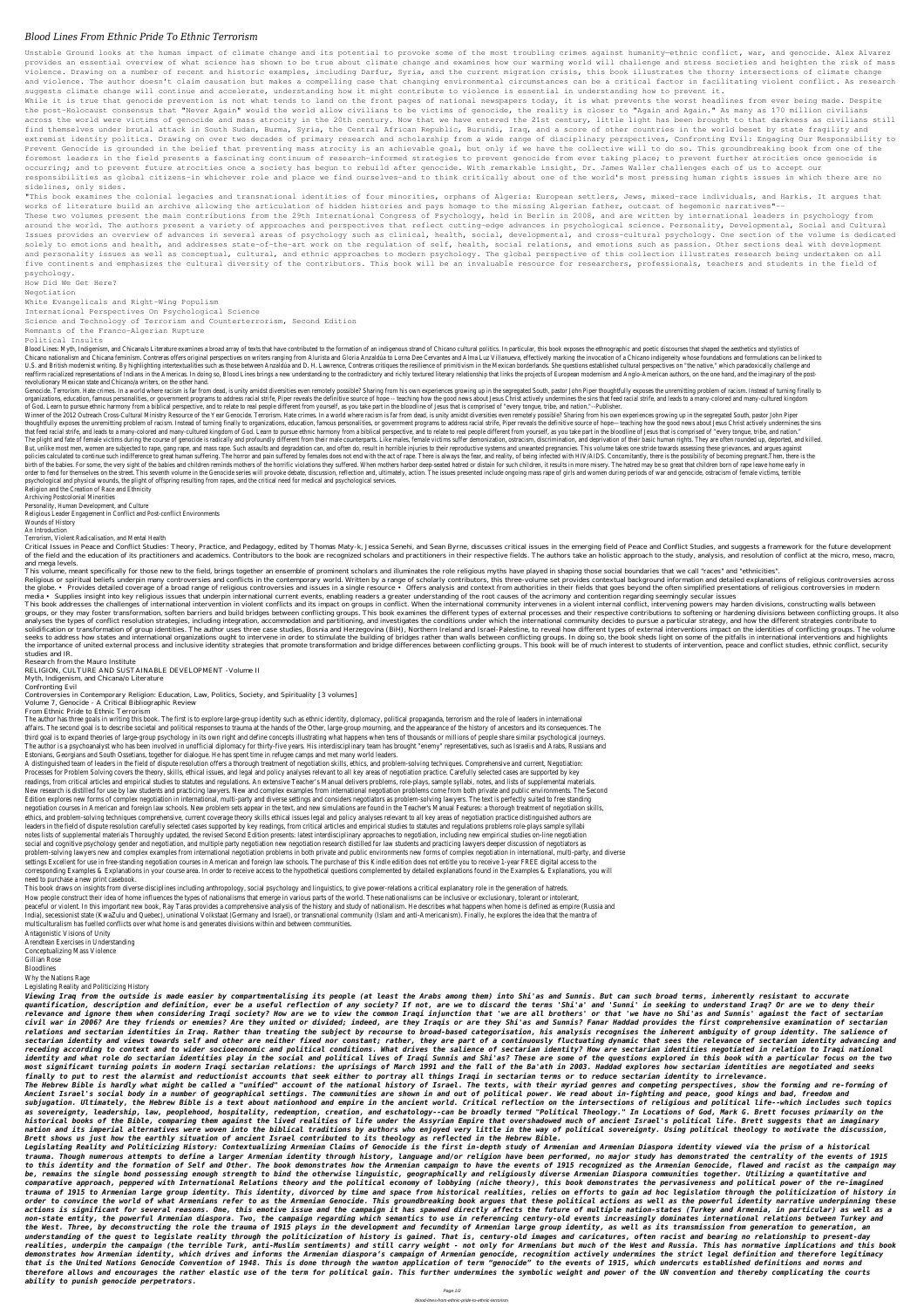## *Blood Lines From Ethnic Pride To Ethnic Terrorism*

Unstable Ground looks at the human impact of climate change and its potential to provoke some of the most troubling crimes against humanity-ethnic conflict, war, and genocide. Alex Alvarez provides an essential overview of what science has shown to be true about climate change and examines how our warming world will challenge and stress societies and heighten the risk of mass violence. Drawing on a number of recent and historic examples, including Darfur, Syria, and the current migration crisis, this book illustrates the thorny intersections of climate change and violence. The author doesn't claim causation but makes a compelling case that changing environmental circumstances can be a critical factor in facilitating violent conflict. As research suggests climate change will continue and accelerate, understanding how it might contribute to violence is essential in understanding how to prevent it.

While it is true that genocide prevention is not what tends to land on the front pages of national newspapers today, it is what prevents the worst headlines from ever being made. Despite the post-Holocaust consensus that "Never Again" would the world allow civilians to be victims of genocide, the reality is closer to "Again and Again." As many as 170 million civilians across the world were victims of genocide and mass atrocity in the 20th century. Now that we have entered the 21st century, little light has been brought to that darkness as civilians still find themselves under brutal attack in South Sudan, Burma, Syria, the Central African Republic, Burundi, Iraq, and a score of other countries in the world beset by state fragility and extremist identity politics. Drawing on over two decades of primary research and scholarship from a wide range of disciplinary perspectives, Confronting Evil: Engaging Our Responsibility to Prevent Genocide is grounded in the belief that preventing mass atrocity is an achievable goal, but only if we have the collective will to do so. This groundbreaking book from one of the foremost leaders in the field presents a fascinating continuum of research-informed strategies to prevent genocide from ever taking place; to prevent further atrocities once genocide is occurring; and to prevent future atrocities once a society has begun to rebuild after genocide. With remarkable insight, Dr. James Waller challenges each of us to accept our responsibilities as global citizens-in whichever role and place we find ourselves-and to think critically about one of the world's most pressing human rights issues in which there are no sidelines, only sides.

"This book examines the colonial legacies and transnational identities of four minorities, orphans of Algeria: European settlers, Jews, mixed-race individuals, and Harkis. It argues that works of literature build an archive allowing the articulation of hidden histories and pays homage to the missing Algerian father, outcast of hegemonic narratives"--

These two volumes present the main contributions from the 29th International Congress of Psychology, held in Berlin in 2008, and are written by international leaders in psychology from around the world. The authors present a variety of approaches and perspectives that reflect cutting-edge advances in psychological science. Personality, Developmental, Social and Cultural Issues provides an overview of advances in several areas of psychology such as clinical, health, social, developmental, and cross-cultural psychology. One section of the volume is dedicated solely to emotions and health, and addresses state-of-the-art work on the requlation of self, health, social relations, and emotions such as passion. Other sections deal with development and personality issues as well as conceptual, cultural, and ethnic approaches to modern psychology. The global perspective of this collection illustrates research being undertaken on all five continents and emphasizes the cultural diversity of the contributors. This book will be an invaluable resource for researchers, professionals, teachers and students in the field of psychology.

Blood Lines: Myth, Indigenism, and Chicana/o Literature examines a broad array of texts that have contributed to the formation of an indigenous strand of Chicano cultural politics. In particular, this book exposes the ethn Chicano nationalism and Chicana feminism. Contreras offers original perspectives on writers ranging from Alurista and Gloria Anzaldúa to Lorna Dee Cervantes and Alma Luz Villanueva, effectively marking the invocation of a U.S. and British modernist writing. By highlighting intertextualities such as those between Anzaldúa and D. H. Lawrence, Contreras critiques the resilience of primitivism in the Mexican borderlands. She questions establish reaffirm racialized representations of Indians in the Americas. In doing so, Blood Lines brings a new understanding to the contradictory and richly textured literary relationship that links the projects of European moderni revolutionary Mexican state and Chicano/a writers, on the other hand.

Genocide. Terrorism. Hate crimes. In a world where racism is far from dead, is unity amidst diversities even remotely possible? Sharing from his own experiences growing up in the segregated South, pastor John Piper thought organizations, education, famous personalities, or government programs to address racial strife, Piper reveals the definitive source of hope -- teaching how the good news about Jesus Christ actively undermines the sins tha of God. Learn to pursue ethnic harmony from a biblical perspective, and to relate to real people different from yourself, as you take part in the bloodline of Jesus that is comprised of "every tongue, tribe, and nation."--

How Did We Get Here?

Negotiation

White Evangelicals and Right-Wing Populism

International Perspectives On Psychological Science

Science and Technology of Terrorism and Counterterrorism, Second Edition

Remnants of the Franco-Algerian Rupture

Political Insults

Winner of the 2012 Outreach Cross-Cultural Ministry Resource of the Year Genocide. Terrorism. Hate crimes. In a world where racism is far from dead, is unity amidst diversities even remotely possible? Sharing from his own thoughtfully exposes the unremitting problem of racism. Instead of turning finally to organizations, education, famous personalities, or government programs to address racial strife, Piper reveals the definitive source of that feed racial strife, and leads to a many-colored and many-cultured kingdom of God. Learn to pursue ethnic harmony from a biblical perspective, and to relate to real people different from yourself, as you take part in t The plight and fate of female victims during the course of genocide is radically and profoundly different from their male counterparts. Like males, female victims suffer demonization, ostracism, discrimination, and depriva But, unlike most men, women are subiected to rape, gang rape, and mass rape. Such assaults and degradation can, and often do, result in horrible injuries to their reproductive systems and unwanted pregnancies. This volume policies calculated to continue such indifference to great human suffering. The horror and pain suffered by females does not end with the act of rape. There is always the fear, and reality, of being infected with HIV/AIDS. birth of the babies. For some, the very sight of the babies and children reminds mothers of the horrific violations they suffered. When mothers harbor deep-seated hatred or distain for such children, it results in more mis order to fend for themselves on the street. This seventh volume in the Genocide series will provoke debate, discussion, reflection and, ultimately, action. The issues presented include ongoing mass rape of girls and women psychological and physical wounds, the plight of offspring resulting from rapes, and the critical need for medical and psychological services. Religion and the Creation of Race and Ethnicity

Critical Issues in Peace and Conflict Studies: Theory, Practice, and Pedagogy, edited by Thomas Maty-k, Jessica Senehi, and Sean Byrne, discusses critical issues in the emerging field of Peace and Conflict Studies, and sug of the field and the education of its practitioners and academics. Contributors to the book are recognized scholars and practitioners in their respective fields. The authors take an holistic approach to the study, analysis and mega levels.

This volume, meant specifically for those new to the field, brings together an ensemble of prominent scholars and illuminates the role religious myths have played in shaping those social boundaries that we call "races" and

Religious or spiritual beliefs underpin many controversies and conflicts in the contemporary world. Written by a range of scholarly contributors, this three-volume set provides contextual background information and detaile the globe. • Provides detailed coverage of a broad range of religious controversies and issues in a single resource • Offers analysis and context from authorities in their fields that goes beyond the often simplified prese media • Supplies insight into key religious issues that underpin international current events, enabling readers a greater understanding of the root causes of the acrimony and contention regarding seemingly secular issues

This book addresses the challenges of international intervention in violent conflicts and its impact on groups in conflict. When the international community intervenes in a violent internal conflict, intervening powers may groups, or they may foster transformation, soften barriers and build bridges between conflicting groups. This book examines the different types of external processes and their respective contributions to softening or harde analyses the types of conflict resolution strategies, including integration, accommodation and partitioning, and investigates the conditions under which the international community decides to pursue a particular strategy, solidification or transformation of group identities. The author uses three case studies, Bosnia and Herzegovina (BiH), Northern Ireland and Israel-Palestine, to reveal how different types of external interventions impact seeks to address how states and international organizations ought to intervene in order to stimulate the building of bridges rather than walls between conflicting groups. In doing so, the book sheds light on some of the pi the importance of united external process and inclusive identity strategies that promote transformation and bridge differences between conflicting groups. This book will be of much interest to students of intervention, pea studies and IR.

Archiving Postcolonial Minorities Personality, Human Development, and Culture Religious Leader Engagement in Conflict and Post-conflict Environments Wounds of History An Introduction Terrorism, Violent Radicalisation, and Mental Health

Research from the Mauro Institute

RELIGION, CULTURE AND SUSTAINABLE DEVELOPMENT -Volume II Myth, Indigenism, and Chicana/o Literature

Confronting Evil

Controversies in Contemporary Religion: Education, Law, Politics, Society, and Spirituality [3 volumes]

Volume 7, Genocide - A Critical Bibliographic Review

From Ethnic Pride to Ethnic Terrorism

The author has three goals in writing this book. The first is to explore large-group identity such as ethnic identity, diplomacy, political propaganda, terrorism and the role of leaders in international affairs. The second goal is to describe societal and political responses to trauma at the hands of the Other, large-group mourning, and the appearance of the history of ancestors and its consequences. The third goal is to expand theories of large-group psychology in its own right and define concepts illustrating what happens when tens of thousands or millions of people share similar psychological journeys. The author is a psychoanalyst who has been involved in unofficial diplomacy for thirty-five years. His interdisciplinary team has brought "enemy" representatives, such as Israelis and Arabs, Russians and Estonians, Georgians and South Ossetians, together for dialogue. He has spent time in refugee camps and met many world leaders.

A distinguished team of leaders in the field of dispute resolution offers a thorough treatment of negotiation skills, ethics, and problem-solving techniques. Comprehensive and current, Negotiation: Processes for Problem Solving covers the theory, skills, ethical issues, and legal and policy analyses relevant to all key areas of negotiation practice. Carefully selected cases are supported by key readings, from critical articles and empirical studies to statutes and regulations. An extensive Teacher's Manual delivers problems, role-plays, sample syllabi, notes, and lists of supplemental materials. New research is distilled for use by law students and practicing lawyers. New and complex examples from international negotiation problems come from both private and public environments. The Second Edition explores new forms of complex negotiation in international, multi-party and diverse settings and considers negotiators as problem-solving lawyers. The text is perfectly suited to free standing negotiation courses in American and foreign law schools. New problem sets appear in the text, and new simulations are found in the Teacher's Manual Features: a thorough treatment of negotiation skills, ethics, and problem-solving techniques comprehensive, current coverage theory skills ethical issues legal and policy analyses relevant to all key areas of negotiation practice distinguished authors are leaders in the field of dispute resolution carefully selected cases supported by key readings, from critical articles and empirical studies to statutes and regulations problems role-plays sample syllabi notes lists of supplemental materials Thoroughly updated, the revised Second Edition presents: latest interdisciplinary approaches to negotiation, including new empirical studies on-line negotiation social and cognitive psychology gender and negotiation, and multiple party negotiation new negotiation research distilled for law students and practicing lawyers deeper discussion of negotiators as problem-solving lawyers new and complex examples from international negotiation problems in both private and public environments new forms of complex negotiation in international, multi-party, and diverse settings Excellent for use in free-standing negotiation courses in American and foreign law schools. The purchase of this Kindle edition does not entitle you to receive 1-year FREE digital access to the corresponding Examples & Explanations in your course area. In order to receive access to the hypothetical questions complemented by detailed explanations found in the Examples & Explanations, you will need to purchase a new print casebook.

This book draws on insights from diverse disciplines including anthropology, social psychology and linguistics, to give power-relations a critical explanatory role in the generation of hatreds. How people construct their idea of home influences the types of nationalisms that emerge in various parts of the world. These nationalisms can be inclusive or exclusionary, tolerant or intolerant, peaceful or violent. In this important new book, Ray Taras provides a comprehensive analysis of the history and study of nationalism. He describes what happens when home is defined as empire (Russia and India), secessionist state (KwaZulu and Quebec), uninational Volkstaat (Germany and Israel), or transnational community (Islam and anti-Americanism). Finally, he explores the idea that the mantra of multiculturalism has fuelled conflicts over what home is and generates divisions within and between communities.

Antagonistic Visions of Unity Arendtean Exercises in Understanding Conceptualizing Mass Violence Gillian Rose **Bloodlines** Why the Nations Rage Legislating Reality and Politicizing History

*Viewing Iraq from the outside is made easier by compartmentalising its people (at least the Arabs among them) into Shi'as and Sunnis. But can such broad terms, inherently resistant to accurate quantification, description and definition, ever be a useful reflection of any society? If not, are we to discard the terms 'Shi'a' and 'Sunni' in seeking to understand Iraq? Or are we to deny their relevance and ignore them when considering Iraqi society? How are we to view the common Iraqi injunction that 'we are all brothers' or that 'we have no Shi'as and Sunnis' against the fact of sectarian civil war in 2006? Are they friends or enemies? Are they united or divided; indeed, are they Iraqis or are they Shi'as and Sunnis? Fanar Haddad provides the first comprehensive examination of sectarian relations and sectarian identities in Iraq. Rather than treating the subject by recourse to broad-based categorisation, his analysis recognises the inherent ambiguity of group identity. The salience of sectarian identity and views towards self and other are neither fixed nor constant; rather, they are part of a continuously fluctuating dynamic that sees the relevance of sectarian identity advancing and receding according to context and to wider socioeconomic and political conditions. What drives the salience of sectarian identity? How are sectarian identities negotiated in relation to Iraqi national identity and what role do sectarian identities play in the social and political lives of Iraqi Sunnis and Shi'as? These are some of the questions explored in this book with a particular focus on the two most significant turning points in modern Iraqi sectarian relations: the uprisings of March 1991 and the fall of the Ba'ath in 2003. Haddad explores how sectarian identities are negotiated and seeks finally to put to rest the alarmist and reductionist accounts that seek either to portray all things Iraqi in sectarian terms or to reduce sectarian identity to irrelevance.*

*The Hebrew Bible is hardly what might be called a "unified" account of the national history of Israel. The texts, with their myriad genres and competing perspectives, show the forming and re-forming of Ancient Israel's social body in a number of geographical settings. The communities are shown in and out of political power. We read about in-fighting and peace, good kings and bad, freedom and subjugation. Ultimately, the Hebrew Bible is a text about nationhood and empire in the ancient world. Critical reflection on the intersections of religious and political life--which includes such topics as sovereignty, leadership, law, peoplehood, hospitality, redemption, creation, and eschatology--can be broadly termed "Political Theology." In Locations of God, Mark G. Brett focuses primarily on the historical books of the Bible, comparing them against the lived realities of life under the Assyrian Empire that overshadowed much of ancient Israel's political life. Brett suggests that an imaginary nation and its imperial alternatives were woven into the biblical traditions by authors who enjoyed very little in the way of political sovereignty. Using political theology to motivate the discussion, Brett shows us just how the earthly situation of ancient Israel contributed to its theology as reflected in the Hebrew Bible.*

*Legislating Reality and Politicizing History: Contextualizing Armenian Claims of Genocide is the first in-depth study of Armenian and Armenian Diaspora identity viewed via the prism of a historical trauma. Though numerous attempts to define a larger Armenian identity through history, language and/or religion have been performed, no major study has demonstrated the centrality of the events of 1915 to this identity and the formation of Self and Other. The book demonstrates how the Armenian campaign to have the events of 1915 recognized as the Armenian Genocide, flawed and racist as the campaign may be, remains the single bond possessing enough strength to bind the otherwise linguistic, geographically and religiously diverse Armenian Diaspora communities together. Utilizing a quantitative and comparative approach, peppered with International Relations theory and the political economy of lobbying (niche theory), this book demonstrates the pervasiveness and political power of the re-imagined trauma of 1915 to Armenian large group identity. This identity, divorced by time and space from historical realities, relies on efforts to gain ad hoc legislation through the politicization of history in order to convince the world of what Armenians refer to as the Armenian Genocide. This groundbreaking book argues that these political actions as well as the powerful identity narrative underpinning these actions is significant for several reasons. One, this emotive issue and the campaign it has spawned directly affects the future of multiple nation-states (Turkey and Armenia, in particular) as well as a non-state entity, the powerful Armenian diaspora. Two, the campaign regarding which semantics to use in referencing century-old events increasingly dominates international relations between Turkey and the West. Three, by deconstructing the role the trauma of 1915 plays in the development and fecundity of Armenian large group identity, as well as its transmission from generation to generation, an understanding of the quest to legislate reality through the politicization of history is gained. That is, century-old images and caricatures, often racist and bearing no relationship to present-day realities, underpin the campaign (the terrible Turk, anti-Muslim sentiments) and still carry weight - not only for Armenians but much of the West and Russia. This has normative implications and this book demonstrates how Armenian identity, which drives and informs the Armenian diaspora's campaign of Armenian genocide, recognition actively undermines the strict legal definition and therefore legitimacy that is the United Nations Genocide Convention of 1948. This is done through the wanton application of term "genocide" to the events of 1915, which undercuts established definitions and norms and therefore allows and encourages the rather elastic use of the term for political gain. This further undermines the symbolic weight and power of the UN convention and thereby complicating the courts ability to punish genocide perpetrators.*